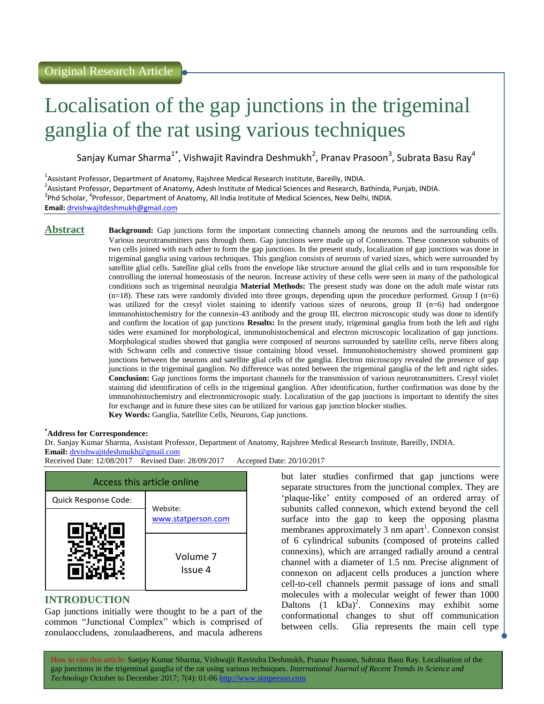# Localisation of the gap junctions in the trigeminal ganglia of the rat using various techniques

Sanjay Kumar Sharma $^{1^*}$ , Vishwajit Ravindra Deshmukh<sup>2</sup>, Pranav Prasoon $^3$ , Subrata Basu Ray $^4$ 

<sup>1</sup>Assistant Professor, Department of Anatomy, Rajshree Medical Research Institute, Bareilly, INDIA. <sup>2</sup>Assistant Professor, Department of Anatomy, Adesh Institute of Medical Sciences and Research, Bathinda, Punjab, INDIA. <sup>3</sup>Phd Scholar, <sup>4</sup>Professor, Department of Anatomy, All India Institute of Medical Sciences, New Delhi, INDIA. **Email:** <drvishwajitdeshmukh@gmail.com>

**Abstract Background:** Gap junctions form the important connecting channels among the neurons and the surrounding cells. Various neurotransmitters pass through them. Gap junctions were made up of Connexons. These connexon subunits of two cells joined with each other to form the gap junctions. In the present study, localization of gap junctions was done in trigeminal ganglia using various techniques. This ganglion consists of neurons of varied sizes, which were surrounded by satellite glial cells. Satellite glial cells from the envelope like structure around the glial cells and in turn responsible for controlling the internal homeostasis of the neuron. Increase activity of these cells were seen in many of the pathological conditions such as trigeminal neuralgia **Material Methods:** The present study was done on the adult male wistar rats  $(n=18)$ . These rats were randomly divided into three groups, depending upon the procedure performed. Group I  $(n=6)$ was utilized for the cresyl violet staining to identify various sizes of neurons, group II (n=6) had undergone immunohistochemistry for the connexin-43 antibody and the group III, electron microscopic study was done to identify and confirm the location of gap junctions **Results:** In the present study, trigeminal ganglia from both the left and right sides were examined for morphological, immunohistochemical and electron microscopic localization of gap junctions. Morphological studies showed that ganglia were composed of neurons surrounded by satellite cells, nerve fibers along with Schwann cells and connective tissue containing blood vessel. Immunohistochemistry showed prominent gap junctions between the neurons and satellite glial cells of the ganglia. Electron microscopy revealed the presence of gap junctions in the trigeminal ganglion. No difference was noted between the trigeminal ganglia of the left and right sides. **Conclusion:** Gap junctions forms the important channels for the transmission of various neurotransmitters. Cresyl violet staining did identification of cells in the trigeminal ganglion. After identification, further confirmation was done by the immunohistochemistry and electronmicrosopic study. Localization of the gap junctions is important to identify the sites for exchange and in future these sites can be utilized for various gap junction blocker studies. **Key Words:** Ganglia, Satellite Cells, Neurons, Gap junctions.

#### **\*Address for Correspondence:**

Dr. Sanjay Kumar Sharma, Assistant Professor, Department of Anatomy, Rajshree Medical Research Institute, Bareilly, INDIA. **Email:** <drvishwajitdeshmukh@gmail.com><br>Received Date: 12/08/2017 Revised Date: 28/09/2017

Received Date: 12/08/2017 Revised Date: 28/09/2017 Accepted Date: 20/10/2017



## **INTRODUCTION**

Gap junctions initially were thought to be a part of the common "Junctional Complex" which is comprised of zonulaoccludens, zonulaadherens, and macula adherens

but later studies confirmed that gap junctions were separate structures from the junctional complex. They are 'plaque-like' entity composed of an ordered array of subunits called connexon, which extend beyond the cell surface into the gap to keep the opposing plasma membranes approximately  $\overline{3}$  nm apart<sup>1</sup>. Connexon consist of 6 cylindrical subunits (composed of proteins called connexins), which are arranged radially around a central channel with a diameter of 1.5 nm. Precise alignment of connexon on adjacent cells produces a junction where cell-to-cell channels permit passage of ions and small molecules with a molecular weight of fewer than 1000 Daltons  $(1 \text{ kDa})^2$ . Connexins may exhibit some conformational changes to shut off communication between cells. Glia represents the main cell type

How to cite this article: Sanjay Kumar Sharma, Vishwajit Ravindra Deshmukh, Pranav Prasoon, Subrata Basu Ray*.* Localisation of the gap junctions in the trigeminal ganglia of the rat using various techniques. *International Journal of Recent Trends in Science and Technology* October to December 2017; 7(4): 01-06 http://www.statperson.com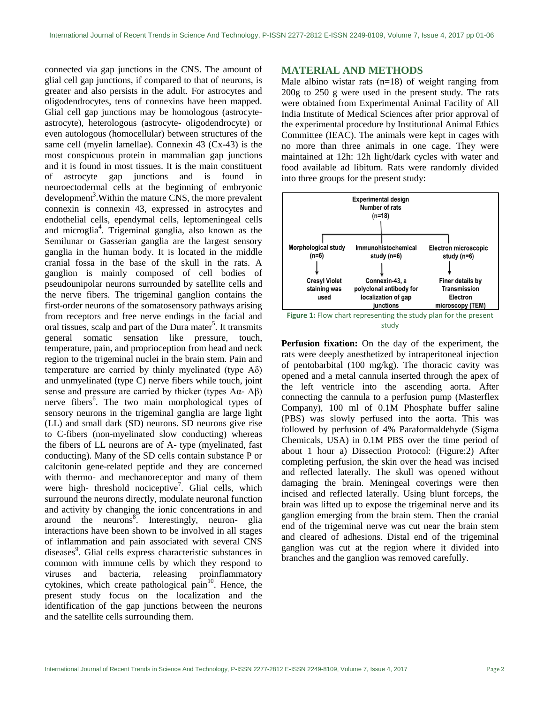connected via gap junctions in the CNS. The amount of glial cell gap junctions, if compared to that of neurons, is greater and also persists in the adult. For astrocytes and oligodendrocytes, tens of connexins have been mapped. Glial cell gap junctions may be homologous (astrocyteastrocyte), heterologous (astrocyte- oligodendrocyte) or even autologous (homocellular) between structures of the same cell (myelin lamellae). Connexin 43 (Cx-43) is the most conspicuous protein in mammalian gap junctions and it is found in most tissues. It is the main constituent of astrocyte gap junctions and is found in neuroectodermal cells at the beginning of embryonic development<sup>3</sup>. Within the mature CNS, the more prevalent connexin is connexin 43, expressed in astrocytes and endothelial cells, ependymal cells, leptomeningeal cells and microglia<sup>4</sup> . Trigeminal ganglia, also known as the Semilunar or Gasserian ganglia are the largest sensory ganglia in the human body. It is located in the middle cranial fossa in the base of the skull in the rats. A ganglion is mainly composed of cell bodies of pseudounipolar neurons surrounded by satellite cells and the nerve fibers. The trigeminal ganglion contains the first-order neurons of the somatosensory pathways arising from receptors and free nerve endings in the facial and oral tissues, scalp and part of the Dura mater<sup>5</sup>. It transmits general somatic sensation like pressure, touch, temperature, pain, and proprioception from head and neck region to the trigeminal nuclei in the brain stem. Pain and temperature are carried by thinly myelinated (type  $A\delta$ ) and unmyelinated (type C) nerve fibers while touch, joint sense and pressure are carried by thicker (types  $A\alpha - A\beta$ ) nerve fibers<sup>6</sup>. The two main morphological types of sensory neurons in the trigeminal ganglia are large light (LL) and small dark (SD) neurons. SD neurons give rise to C-fibers (non-myelinated slow conducting) whereas the fibers of LL neurons are of A- type (myelinated, fast conducting). Many of the SD cells contain substance P or calcitonin gene-related peptide and they are concerned with thermo- and mechanoreceptor and many of them were high- threshold nociceptive<sup>7</sup>. Glial cells, which surround the neurons directly, modulate neuronal function and activity by changing the ionic concentrations in and around the neurons<sup>8</sup>. Interestingly, neuron- glia interactions have been shown to be involved in all stages of inflammation and pain associated with several CNS diseases<sup>9</sup>. Glial cells express characteristic substances in common with immune cells by which they respond to viruses and bacteria, releasing proinflammatory cytokines, which create pathological pain $10$ . Hence, the present study focus on the localization and the identification of the gap junctions between the neurons and the satellite cells surrounding them.

#### **MATERIAL AND METHODS**

Male albino wistar rats  $(n=18)$  of weight ranging from 200g to 250 g were used in the present study. The rats were obtained from Experimental Animal Facility of All India Institute of Medical Sciences after prior approval of the experimental procedure by Institutional Animal Ethics Committee (IEAC). The animals were kept in cages with no more than three animals in one cage. They were maintained at 12h: 12h light/dark cycles with water and food available ad libitum. Rats were randomly divided into three groups for the present study:





**Perfusion fixation:** On the day of the experiment, the rats were deeply anesthetized by intraperitoneal injection of pentobarbital (100 mg/kg). The thoracic cavity was opened and a metal cannula inserted through the apex of the left ventricle into the ascending aorta. After connecting the cannula to a perfusion pump (Masterflex Company), 100 ml of 0.1M Phosphate buffer saline (PBS) was slowly perfused into the aorta. This was followed by perfusion of 4% Paraformaldehyde (Sigma Chemicals, USA) in 0.1M PBS over the time period of about 1 hour a) Dissection Protocol: (Figure:2) After completing perfusion, the skin over the head was incised and reflected laterally. The skull was opened without damaging the brain. Meningeal coverings were then incised and reflected laterally. Using blunt forceps, the brain was lifted up to expose the trigeminal nerve and its ganglion emerging from the brain stem. Then the cranial end of the trigeminal nerve was cut near the brain stem and cleared of adhesions. Distal end of the trigeminal ganglion was cut at the region where it divided into branches and the ganglion was removed carefully.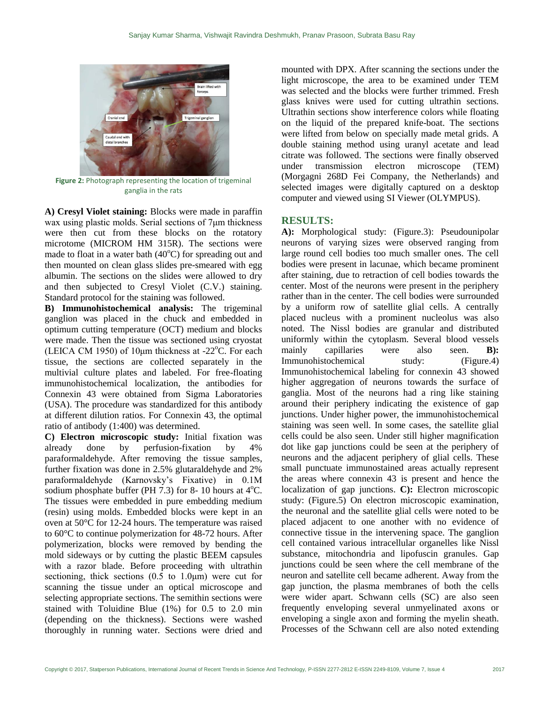

**Figure 2:** Photograph representing the location of trigeminal ganglia in the rats

**A) Cresyl Violet staining:** Blocks were made in paraffin wax using plastic molds. Serial sections of 7μm thickness were then cut from these blocks on the rotatory microtome (MICROM HM 315R). The sections were made to float in a water bath  $(40^{\circ}C)$  for spreading out and then mounted on clean glass slides pre-smeared with egg albumin. The sections on the slides were allowed to dry and then subjected to Cresyl Violet (C.V.) staining. Standard protocol for the staining was followed.

**B) Immunohistochemical analysis:** The trigeminal ganglion was placed in the chuck and embedded in optimum cutting temperature (OCT) medium and blocks were made. Then the tissue was sectioned using cryostat (LEICA CM 1950) of 10 $\mu$ m thickness at -22 $\rm{^{\circ}C}$ . For each tissue, the sections are collected separately in the multivial culture plates and labeled. For free-floating immunohistochemical localization, the antibodies for Connexin 43 were obtained from Sigma Laboratories (USA). The procedure was standardized for this antibody at different dilution ratios. For Connexin 43, the optimal ratio of antibody (1:400) was determined.

**C) Electron microscopic study:** Initial fixation was already done by perfusion-fixation by 4% paraformaldehyde. After removing the tissue samples, further fixation was done in 2.5% glutaraldehyde and 2% paraformaldehyde (Karnovsky"s Fixative) in 0.1M sodium phosphate buffer (PH 7.3) for 8- 10 hours at  $4^{\circ}$ C. The tissues were embedded in pure embedding medium (resin) using molds. Embedded blocks were kept in an oven at 50°C for 12-24 hours. The temperature was raised to 60°C to continue polymerization for 48-72 hours. After polymerization, blocks were removed by bending the mold sideways or by cutting the plastic BEEM capsules with a razor blade. Before proceeding with ultrathin sectioning, thick sections  $(0.5 \text{ to } 1.0 \mu \text{m})$  were cut for scanning the tissue under an optical microscope and selecting appropriate sections. The semithin sections were stained with Toluidine Blue (1%) for 0.5 to 2.0 min (depending on the thickness). Sections were washed thoroughly in running water. Sections were dried and

mounted with DPX. After scanning the sections under the light microscope, the area to be examined under TEM was selected and the blocks were further trimmed. Fresh glass knives were used for cutting ultrathin sections. Ultrathin sections show interference colors while floating on the liquid of the prepared knife-boat. The sections were lifted from below on specially made metal grids. A double staining method using uranyl acetate and lead citrate was followed. The sections were finally observed under transmission electron microscope (TEM) (Morgagni 268D Fei Company, the Netherlands) and selected images were digitally captured on a desktop computer and viewed using SI Viewer (OLYMPUS).

### **RESULTS:**

**A):** Morphological study: (Figure.3): Pseudounipolar neurons of varying sizes were observed ranging from large round cell bodies too much smaller ones. The cell bodies were present in lacunae, which became prominent after staining, due to retraction of cell bodies towards the center. Most of the neurons were present in the periphery rather than in the center. The cell bodies were surrounded by a uniform row of satellite glial cells. A centrally placed nucleus with a prominent nucleolus was also noted. The Nissl bodies are granular and distributed uniformly within the cytoplasm. Several blood vessels mainly capillaries were also seen. **B):**  Immunohistochemical study: (Figure.4) Immunohistochemical labeling for connexin 43 showed higher aggregation of neurons towards the surface of ganglia. Most of the neurons had a ring like staining around their periphery indicating the existence of gap junctions. Under higher power, the immunohistochemical staining was seen well. In some cases, the satellite glial cells could be also seen. Under still higher magnification dot like gap junctions could be seen at the periphery of neurons and the adjacent periphery of glial cells. These small punctuate immunostained areas actually represent the areas where connexin 43 is present and hence the localization of gap junctions. **C):** Electron microscopic study: (Figure.5) On electron microscopic examination, the neuronal and the satellite glial cells were noted to be placed adjacent to one another with no evidence of connective tissue in the intervening space. The ganglion cell contained various intracellular organelles like Nissl substance, mitochondria and lipofuscin granules. Gap junctions could be seen where the cell membrane of the neuron and satellite cell became adherent. Away from the gap junction, the plasma membranes of both the cells were wider apart. Schwann cells (SC) are also seen frequently enveloping several unmyelinated axons or enveloping a single axon and forming the myelin sheath. Processes of the Schwann cell are also noted extending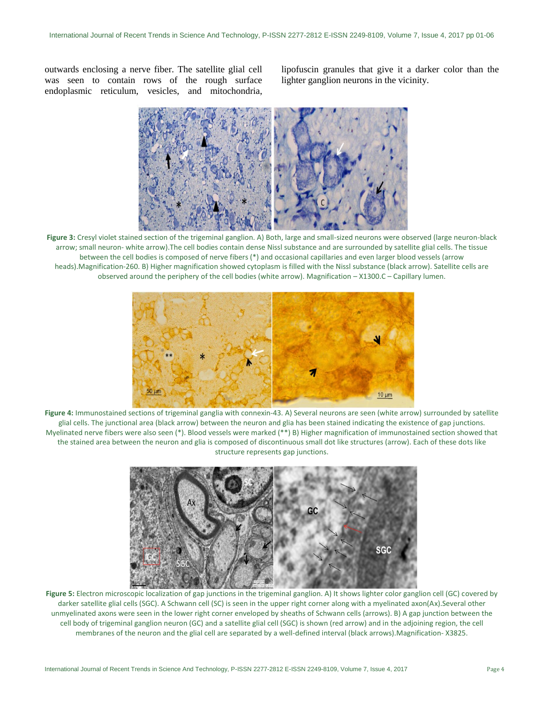outwards enclosing a nerve fiber. The satellite glial cell was seen to contain rows of the rough surface endoplasmic reticulum, vesicles, and mitochondria, lipofuscin granules that give it a darker color than the lighter ganglion neurons in the vicinity.



**Figure 3:** Cresyl violet stained section of the trigeminal ganglion. A) Both, large and small-sized neurons were observed (large neuron-black arrow; small neuron- white arrow).The cell bodies contain dense Nissl substance and are surrounded by satellite glial cells. The tissue between the cell bodies is composed of nerve fibers (\*) and occasional capillaries and even larger blood vessels (arrow heads).Magnification-260. B) Higher magnification showed cytoplasm is filled with the Nissl substance (black arrow). Satellite cells are observed around the periphery of the cell bodies (white arrow). Magnification – X1300.C – Capillary lumen.



**Figure 4:** Immunostained sections of trigeminal ganglia with connexin-43. A) Several neurons are seen (white arrow) surrounded by satellite glial cells. The junctional area (black arrow) between the neuron and glia has been stained indicating the existence of gap junctions. Myelinated nerve fibers were also seen (\*). Blood vessels were marked (\*\*) B) Higher magnification of immunostained section showed that the stained area between the neuron and glia is composed of discontinuous small dot like structures (arrow). Each of these dots like structure represents gap junctions.



**Figure 5:** Electron microscopic localization of gap junctions in the trigeminal ganglion. A) It shows lighter color ganglion cell (GC) covered by darker satellite glial cells (SGC). A Schwann cell (SC) is seen in the upper right corner along with a myelinated axon(Ax).Several other unmyelinated axons were seen in the lower right corner enveloped by sheaths of Schwann cells (arrows). B) A gap junction between the cell body of trigeminal ganglion neuron (GC) and a satellite glial cell (SGC) is shown (red arrow) and in the adjoining region, the cell membranes of the neuron and the glial cell are separated by a well-defined interval (black arrows).Magnification- X3825.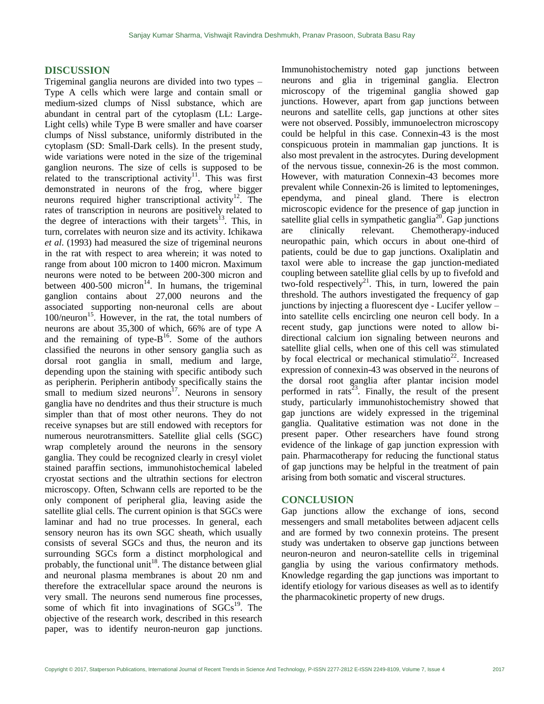#### **DISCUSSION**

Trigeminal ganglia neurons are divided into two types – Type A cells which were large and contain small or medium-sized clumps of Nissl substance, which are abundant in central part of the cytoplasm (LL: Large-Light cells) while Type B were smaller and have coarser clumps of Nissl substance, uniformly distributed in the cytoplasm (SD: Small-Dark cells). In the present study, wide variations were noted in the size of the trigeminal ganglion neurons. The size of cells is supposed to be related to the transcriptional activity<sup>11</sup>. This was first demonstrated in neurons of the frog, where bigger neurons required higher transcriptional activity<sup>12</sup>. The rates of transcription in neurons are positively related to the degree of interactions with their targets<sup>13</sup>. This, in turn, correlates with neuron size and its activity. Ichikawa *et al*. (1993) had measured the size of trigeminal neurons in the rat with respect to area wherein; it was noted to range from about 100 micron to 1400 micron. Maximum neurons were noted to be between 200-300 micron and between  $400-500$  micron<sup>14</sup>. In humans, the trigeminal ganglion contains about 27,000 neurons and the associated supporting non-neuronal cells are about 100/neuron<sup>15</sup>. However, in the rat, the total numbers of neurons are about 35,300 of which, 66% are of type A and the remaining of type- $B<sup>16</sup>$ . Some of the authors classified the neurons in other sensory ganglia such as dorsal root ganglia in small, medium and large, depending upon the staining with specific antibody such as peripherin. Peripherin antibody specifically stains the small to medium sized neurons<sup>17</sup>. Neurons in sensory ganglia have no dendrites and thus their structure is much simpler than that of most other neurons. They do not receive synapses but are still endowed with receptors for numerous neurotransmitters. Satellite glial cells (SGC) wrap completely around the neurons in the sensory ganglia. They could be recognized clearly in cresyl violet stained paraffin sections, immunohistochemical labeled cryostat sections and the ultrathin sections for electron microscopy. Often, Schwann cells are reported to be the only component of peripheral glia, leaving aside the satellite glial cells. The current opinion is that SGCs were laminar and had no true processes. In general, each sensory neuron has its own SGC sheath, which usually consists of several SGCs and thus, the neuron and its surrounding SGCs form a distinct morphological and probably, the functional unit<sup>18</sup>. The distance between glial and neuronal plasma membranes is about 20 nm and therefore the extracellular space around the neurons is very small. The neurons send numerous fine processes, some of which fit into invaginations of  $SGCs<sup>19</sup>$ . The objective of the research work, described in this research paper, was to identify neuron-neuron gap junctions.

Immunohistochemistry noted gap junctions between neurons and glia in trigeminal ganglia. Electron microscopy of the trigeminal ganglia showed gap junctions. However, apart from gap junctions between neurons and satellite cells, gap junctions at other sites were not observed. Possibly, immunoelectron microscopy could be helpful in this case. Connexin-43 is the most conspicuous protein in mammalian gap junctions. It is also most prevalent in the astrocytes. During development of the nervous tissue, connexin-26 is the most common. However, with maturation Connexin-43 becomes more prevalent while Connexin-26 is limited to leptomeninges, ependyma, and pineal gland. There is electron microscopic evidence for the presence of gap junction in satellite glial cells in sympathetic ganglia<sup>20</sup>. Gap junctions are clinically relevant. Chemotherapy-induced neuropathic pain, which occurs in about one-third of patients, could be due to gap junctions. Oxaliplatin and taxol were able to increase the gap junction-mediated coupling between satellite glial cells by up to fivefold and two-fold respectively<sup>21</sup>. This, in turn, lowered the pain threshold. The authors investigated the frequency of gap junctions by injecting a fluorescent dye - Lucifer yellow – into satellite cells encircling one neuron cell body. In a recent study, gap junctions were noted to allow bidirectional calcium ion signaling between neurons and satellite glial cells, when one of this cell was stimulated by focal electrical or mechanical stimulatio<sup>22</sup>. Increased expression of connexin-43 was observed in the neurons of the dorsal root ganglia after plantar incision model performed in rats<sup>23</sup>. Finally, the result of the present study, particularly immunohistochemistry showed that gap junctions are widely expressed in the trigeminal ganglia. Qualitative estimation was not done in the present paper. Other researchers have found strong evidence of the linkage of gap junction expression with pain. Pharmacotherapy for reducing the functional status of gap junctions may be helpful in the treatment of pain arising from both somatic and visceral structures.

#### **CONCLUSION**

Gap junctions allow the exchange of ions, second messengers and small metabolites between adjacent cells and are formed by two connexin proteins. The present study was undertaken to observe gap junctions between neuron-neuron and neuron-satellite cells in trigeminal ganglia by using the various confirmatory methods. Knowledge regarding the gap junctions was important to identify etiology for various diseases as well as to identify the pharmacokinetic property of new drugs.